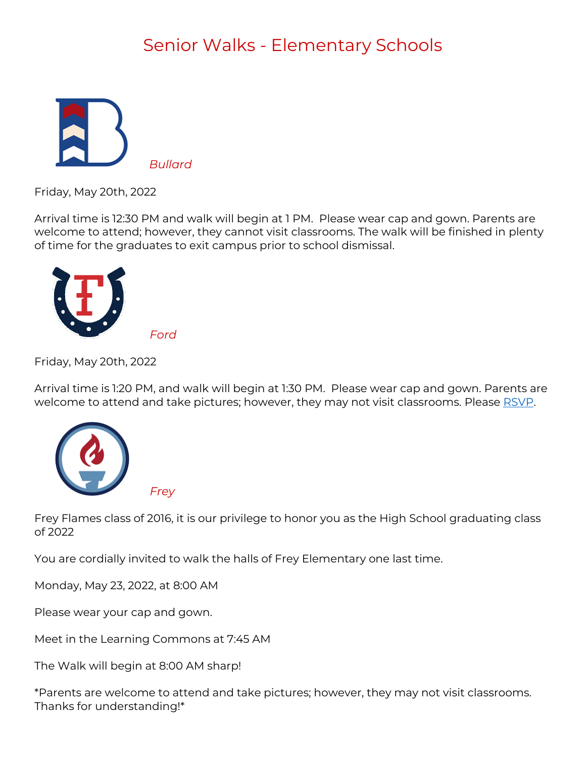## Senior Walks - Elementary Schools



Friday, May 20th, 2022

Arrival time is 12:30 PM and walk will begin at 1 PM. Please wear cap and gown. Parents are welcome to attend; however, they cannot visit classrooms. The walk will be finished in plenty of time for the graduates to exit campus prior to school dismissal.



Friday, May 20th, 2022

Arrival time is 1:20 PM, and walk will begin at 1:30 PM. Please wear cap and gown. Parents are welcome to attend and take pictures; however, they may not visit classrooms. Please [RSVP.](https://m.signupgenius.com/#!/showRSVPSignUp/20f0844acab29a57-senior)



Frey Flames class of 2016, it is our privilege to honor you as the High School graduating class of 2022

You are cordially invited to walk the halls of Frey Elementary one last time.

Monday, May 23, 2022, at 8:00 AM

Please wear your cap and gown.

Meet in the Learning Commons at 7:45 AM

 *Ford*

*Frey*

The Walk will begin at 8:00 AM sharp!

\*Parents are welcome to attend and take pictures; however, they may not visit classrooms. Thanks for understanding!\*